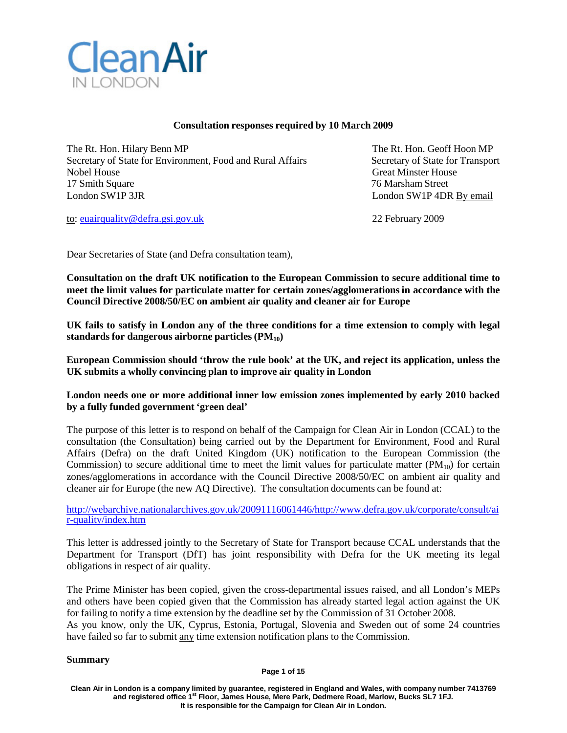

## **Consultation responses required by 10 March 2009**

The Rt. Hon. Hilary Benn MP The Rt. Hon. Geoff Hoon MP Secretary of State for Environment, Food and Rural Affairs Secretary of State for Transport Nobel House Great Minster House Great Minster House 17 Smith Square 76 Marsham Street London SW1P 3JR London SW1P 4DR By email

to: [euairquality@defra.gsi.gov.uk](mailto:euairquality@defra.gsi.gov.uk) 22 February 2009

Dear Secretaries of State (and Defra consultation team),

**Consultation on the draft UK notification to the European Commission to secure additional time to meet the limit values for particulate matter for certain zones/agglomerationsin accordance with the Council Directive 2008/50/EC on ambient air quality and cleaner air for Europe**

UK fails to satisfy in London any of the three conditions for a time extension to comply with legal **standards for dangerous airborne particles (PM10)**

**European Commission should 'throw the rule book' at the UK, and reject its application, unless the UK submits a wholly convincing plan to improve air quality in London**

## **London needs one or more additional inner low emission zones implemented by early 2010 backed by a fully funded government 'green deal'**

The purpose of this letter is to respond on behalf of the Campaign for Clean Air in London (CCAL) to the consultation (the Consultation) being carried out by the Department for Environment, Food and Rural Affairs (Defra) on the draft United Kingdom (UK) notification to the European Commission (the Commission) to secure additional time to meet the limit values for particulate matter  $(PM_{10})$  for certain zones/agglomerations in accordance with the Council Directive 2008/50/EC on ambient air quality and cleaner air for Europe (the new AQ Directive). The consultation documents can be found at:

[http://webarchive.nationalarchives.gov.uk/20091116061446/http://www.defra.gov.uk/corporate/consult/ai](http://webarchive.nationalarchives.gov.uk/20091116061446/http:/www.defra.gov.uk/corporate/consult/air-quality/index.htm) [r-quality/index.htm](http://webarchive.nationalarchives.gov.uk/20091116061446/http:/www.defra.gov.uk/corporate/consult/air-quality/index.htm)

This letter is addressed jointly to the Secretary of State for Transport because CCAL understands that the Department for Transport (DfT) has joint responsibility with Defra for the UK meeting its legal obligations in respect of air quality.

The Prime Minister has been copied, given the cross-departmental issues raised, and all London's MEPs and others have been copied given that the Commission has already started legal action against the UK for failing to notify a time extension by the deadline set by the Commission of 31 October 2008. As you know, only the UK, Cyprus, Estonia, Portugal, Slovenia and Sweden out of some 24 countries have failed so far to submit any time extension notification plans to the Commission.

### **Summary**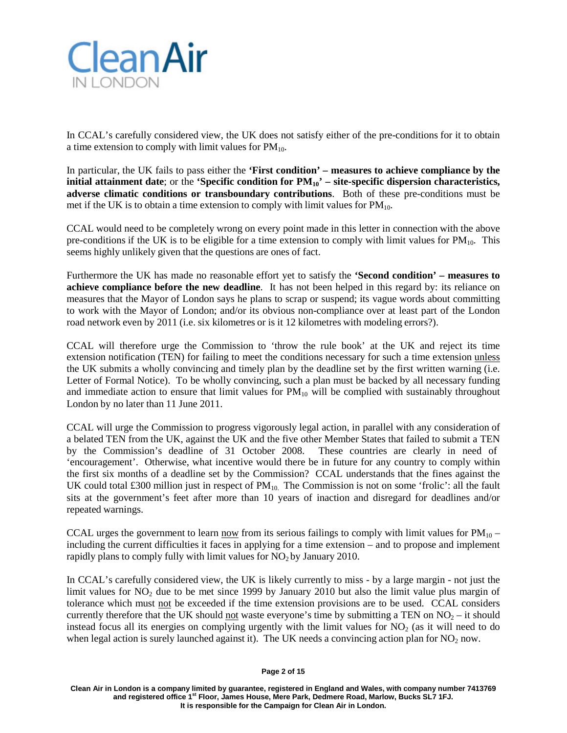

In CCAL's carefully considered view, the UK does not satisfy either of the pre-conditions for it to obtain a time extension to comply with limit values for  $PM_{10}$ .

In particular, the UK fails to pass either the **'First condition' – measures to achieve compliance by the initial attainment date**; or the **'Specific condition for**  $PM_{10}$ **'** – site-specific dispersion characteristics, **adverse climatic conditions or transboundary contributions**. Both of these pre-conditions must be met if the UK is to obtain a time extension to comply with limit values for  $PM_{10}$ .

CCAL would need to be completely wrong on every point made in this letter in connection with the above pre-conditions if the UK is to be eligible for a time extension to comply with limit values for  $PM_{10}$ . This seems highly unlikely given that the questions are ones of fact.

Furthermore the UK has made no reasonable effort yet to satisfy the **'Second condition' – measures to achieve compliance before the new deadline**. It has not been helped in this regard by: its reliance on measures that the Mayor of London says he plans to scrap or suspend; its vague words about committing to work with the Mayor of London; and/or its obvious non-compliance over at least part of the London road network even by 2011 (i.e. six kilometres or is it 12 kilometres with modeling errors?).

CCAL will therefore urge the Commission to 'throw the rule book' at the UK and reject its time extension notification (TEN) for failing to meet the conditions necessary for such a time extension unless the UK submits a wholly convincing and timely plan by the deadline set by the first written warning (i.e. Letter of Formal Notice). To be wholly convincing, such a plan must be backed by all necessary funding and immediate action to ensure that limit values for  $PM_{10}$  will be complied with sustainably throughout London by no later than 11 June 2011.

CCAL will urge the Commission to progress vigorously legal action, in parallel with any consideration of a belated TEN from the UK, against the UK and the five other Member States that failed to submit a TEN by the Commission's deadline of 31 October 2008. These countries are clearly in need of 'encouragement'. Otherwise, what incentive would there be in future for any country to comply within the first six months of a deadline set by the Commission? CCAL understands that the fines against the UK could total £300 million just in respect of  $PM_{10}$ . The Commission is not on some 'frolic': all the fault sits at the government's feet after more than 10 years of inaction and disregard for deadlines and/or repeated warnings.

CCAL urges the government to learn now from its serious failings to comply with limit values for  $PM_{10}$  – including the current difficulties it faces in applying for a time extension – and to propose and implement rapidly plans to comply fully with limit values for  $NO<sub>2</sub>$  by January 2010.

In CCAL's carefully considered view, the UK is likely currently to miss - by a large margin - not just the limit values for  $NO<sub>2</sub>$  due to be met since 1999 by January 2010 but also the limit value plus margin of tolerance which must not be exceeded if the time extension provisions are to be used. CCAL considers currently therefore that the UK should not waste everyone's time by submitting a TEN on  $NO<sub>2</sub> -$  it should instead focus all its energies on complying urgently with the limit values for  $NO<sub>2</sub>$  (as it will need to do when legal action is surely launched against it). The UK needs a convincing action plan for  $NO<sub>2</sub>$  now.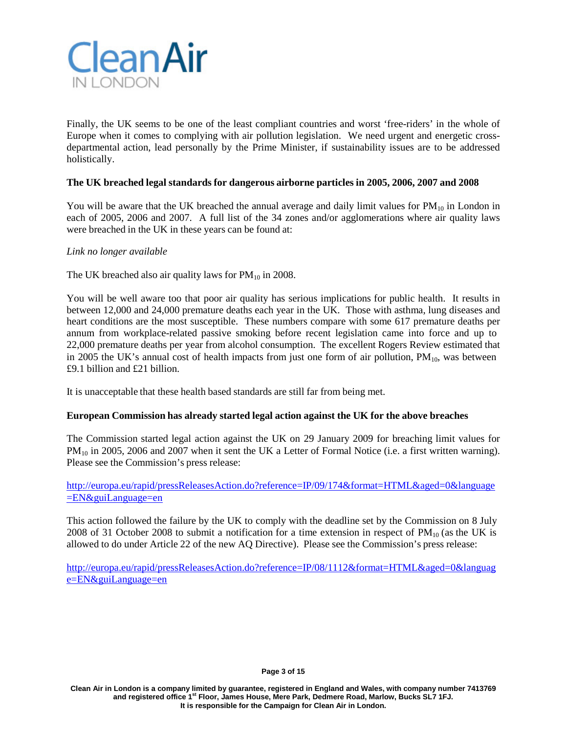

Finally, the UK seems to be one of the least compliant countries and worst 'free-riders' in the whole of Europe when it comes to complying with air pollution legislation. We need urgent and energetic crossdepartmental action, lead personally by the Prime Minister, if sustainability issues are to be addressed holistically.

## **The UK breached legal standards for dangerous airborne particles in 2005, 2006, 2007 and 2008**

You will be aware that the UK breached the annual average and daily limit values for  $PM_{10}$  in London in each of 2005, 2006 and 2007. A full list of the 34 zones and/or agglomerations where air quality laws were breached in the UK in these years can be found at:

### *Link no longer available*

The UK breached also air quality laws for  $PM_{10}$  in 2008.

You will be well aware too that poor air quality has serious implications for public health. It results in between 12,000 and 24,000 premature deaths each year in the UK. Those with asthma, lung diseases and heart conditions are the most susceptible. These numbers compare with some 617 premature deaths per annum from workplace-related passive smoking before recent legislation came into force and up to 22,000 premature deaths per year from alcohol consumption. The excellent Rogers Review estimated that in 2005 the UK's annual cost of health impacts from just one form of air pollution,  $PM_{10}$ , was between £9.1 billion and £21 billion.

It is unacceptable that these health based standards are still far from being met.

### **European Commission has already started legal action against the UK for the above breaches**

The Commission started legal action against the UK on 29 January 2009 for breaching limit values for PM<sub>10</sub> in 2005, 2006 and 2007 when it sent the UK a Letter of Formal Notice (i.e. a first written warning). Please see the Commission's press release:

<http://europa.eu/rapid/pressReleasesAction.do?reference=IP/09/174&format=HTML&aged=0&language> [=EN&guiLanguage=en](http://europa.eu/rapid/pressReleasesAction.do?reference=IP/09/174&format=HTML&aged=0&language)

This action followed the failure by the UK to comply with the deadline set by the Commission on 8 July 2008 of 31 October 2008 to submit a notification for a time extension in respect of  $PM_{10}$  (as the UK is allowed to do under Article 22 of the new AQ Directive). Please see the Commission's press release:

[http://europa.eu/rapid/pressReleasesAction.do?reference=IP/08/1112&format=HTML&aged=0&languag](http://europa.eu/rapid/pressReleasesAction.do?reference=IP/08/1112&format=HTML&aged=0&languag%20e=EN&guiLanguage=en) [e=EN&guiLanguage=en](http://europa.eu/rapid/pressReleasesAction.do?reference=IP/08/1112&format=HTML&aged=0&languag%20e=EN&guiLanguage=en)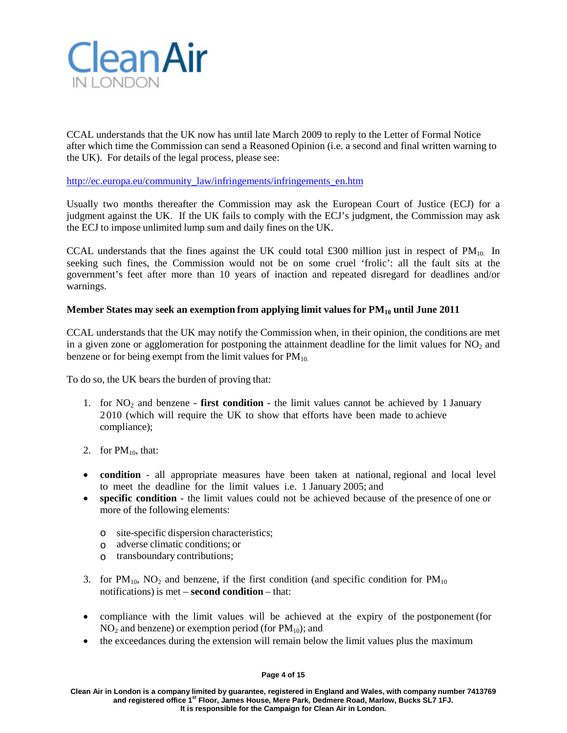

CCAL understands that the UK now has until late March 2009 to reply to the Letter of Formal Notice after which time the Commission can send a Reasoned Opinion (i.e. a second and final written warning to the UK). For details of the legal process, please see:

[http://ec.europa.eu/community\\_law/infringements/infringements\\_en.htm](http://ec.europa.eu/community_law/infringements/infringements_en.htm)

Usually two months thereafter the Commission may ask the European Court of Justice (ECJ) for a judgment against the UK. If the UK fails to comply with the ECJ's judgment, the Commission may ask the ECJ to impose unlimited lump sum and daily fines on the UK.

CCAL understands that the fines against the UK could total £300 million just in respect of  $PM_{10}$ . In seeking such fines, the Commission would not be on some cruel 'frolic': all the fault sits at the government's feet after more than 10 years of inaction and repeated disregard for deadlines and/or warnings.

## **Member States may seek an exemption from applying limit values for PM10 until June 2011**

CCAL understands that the UK may notify the Commission when, in their opinion, the conditions are met in a given zone or agglomeration for postponing the attainment deadline for the limit values for  $NO<sub>2</sub>$  and benzene or for being exempt from the limit values for  $PM_{10}$ .

To do so, the UK bears the burden of proving that:

- 1. for  $NO<sub>2</sub>$  and benzene **first condition** the limit values cannot be achieved by 1 January 2 010 (which will require the UK to show that efforts have been made to achieve compliance);
- 2. for  $PM_{10}$ , that:
- **condition** all appropriate measures have been taken at national, regional and local level to meet the deadline for the limit values i.e. 1 January 2005; and
- **specific condition** the limit values could not be achieved because of the presence of one or more of the following elements:
	- o site-specific dispersion characteristics;
	- o adverse climatic conditions; or
	- o transboundary contributions;
- 3. for  $PM_{10}$ ,  $NO_2$  and benzene, if the first condition (and specific condition for  $PM_{10}$ notifications) is met – **second condition** – that:
- compliance with the limit values will be achieved at the expiry of the postponement (for  $NO<sub>2</sub>$  and benzene) or exemption period (for  $PM<sub>10</sub>$ ); and
- the exceedances during the extension will remain below the limit values plus the maximum

#### **Page 4 of 15**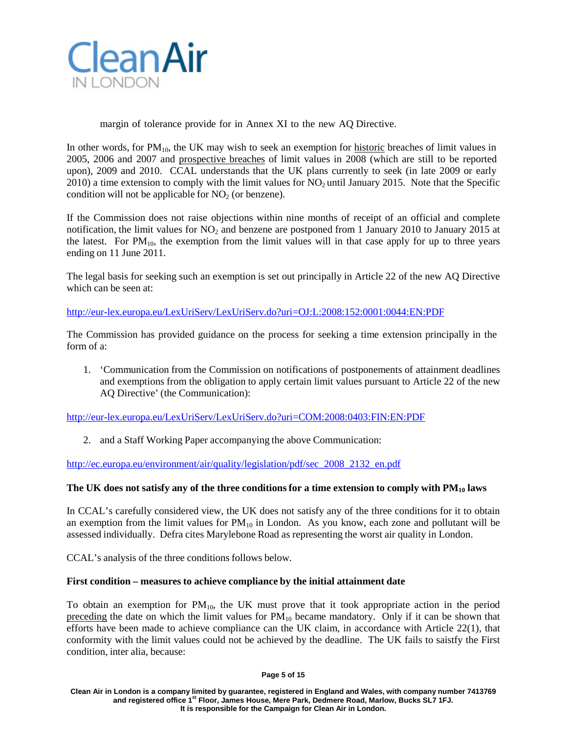

margin of tolerance provide for in Annex XI to the new AQ Directive.

In other words, for  $PM_{10}$ , the UK may wish to seek an exemption for historic breaches of limit values in 2005, 2006 and 2007 and prospective breaches of limit values in 2008 (which are still to be reported upon), 2009 and 2010. CCAL understands that the UK plans currently to seek (in late 2009 or early  $2010$ ) a time extension to comply with the limit values for  $NO<sub>2</sub>$  until January 2015. Note that the Specific condition will not be applicable for  $NO<sub>2</sub>$  (or benzene).

If the Commission does not raise objections within nine months of receipt of an official and complete notification, the limit values for  $NO<sub>2</sub>$  and benzene are postponed from 1 January 2010 to January 2015 at the latest. For  $PM_{10}$ , the exemption from the limit values will in that case apply for up to three years ending on 11 June 2011.

The legal basis for seeking such an exemption is set out principally in Article 22 of the new AQ Directive which can be seen at:

[http://eur-lex.europa.eu/LexUriServ/LexUriServ.do?uri=OJ:L:2008:152:0001:0044:EN:PDF](http://eur-lex.europa.eu/LexUriServ/LexUriServ.do?uri=OJ%3AL%3A2008%3A152%3A0001%3A0044%3AEN%3APDF)

The Commission has provided guidance on the process for seeking a time extension principally in the form of a:

1. 'Communication from the Commission on notifications of postponements of attainment deadlines and exemptions from the obligation to apply certain limit values pursuant to Article 22 of the new AQ Directive' (the Communication):

[http://eur-lex.europa.eu/LexUriServ/LexUriServ.do?uri=COM:2008:0403:FIN:EN:PDF](http://eur-lex.europa.eu/LexUriServ/LexUriServ.do?uri=COM%3A2008%3A0403%3AFIN%3AEN%3APDF)

2. and a Staff Working Paper accompanying the above Communication:

[http://ec.europa.eu/environment/air/quality/legislation/pdf/sec\\_2008\\_2132\\_en.pdf](http://ec.europa.eu/environment/air/quality/legislation/pdf/sec_2008_2132_en.pdf)

### **The UK does not satisfy any of the three conditionsfor a time extension to comply with PM10 laws**

In CCAL's carefully considered view, the UK does not satisfy any of the three conditions for it to obtain an exemption from the limit values for  $PM_{10}$  in London. As you know, each zone and pollutant will be assessed individually. Defra cites Marylebone Road as representing the worst air quality in London.

CCAL's analysis of the three conditions follows below.

### **First condition – measures to achieve compliance by the initial attainment date**

To obtain an exemption for  $PM_{10}$ , the UK must prove that it took appropriate action in the period preceding the date on which the limit values for  $PM_{10}$  became mandatory. Only if it can be shown that efforts have been made to achieve compliance can the UK claim, in accordance with Article 22(1), that conformity with the limit values could not be achieved by the deadline. The UK fails to saistfy the First condition, inter alia, because:

#### **Page 5 of 15**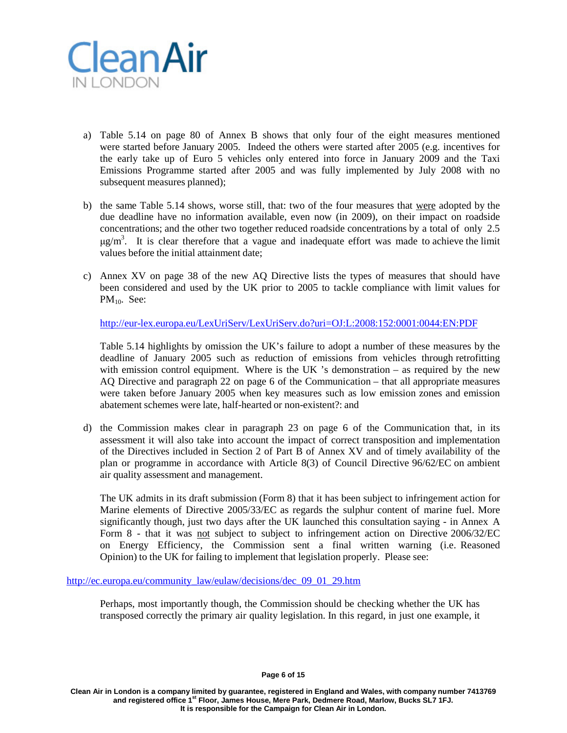

- a) Table 5.14 on page 80 of Annex B shows that only four of the eight measures mentioned were started before January 2005. Indeed the others were started after 2005 (e.g. incentives for the early take up of Euro 5 vehicles only entered into force in January 2009 and the Taxi Emissions Programme started after 2005 and was fully implemented by July 2008 with no subsequent measures planned);
- b) the same Table 5.14 shows, worse still, that: two of the four measures that were adopted by the due deadline have no information available, even now (in 2009), on their impact on roadside concentrations; and the other two together reduced roadside concentrations by a total of only 2.5  $\mu$ g/m<sup>3</sup>. It is clear therefore that a vague and inadequate effort was made to achieve the limit values before the initial attainment date;
- c) Annex XV on page 38 of the new AQ Directive lists the types of measures that should have been considered and used by the UK prior to 2005 to tackle compliance with limit values for PM<sub>10</sub>. See:

[http://eur-lex.europa.eu/LexUriServ/LexUriServ.do?uri=OJ:L:2008:152:0001:0044:EN:PDF](http://eur-lex.europa.eu/LexUriServ/LexUriServ.do?uri=OJ%3AL%3A2008%3A152%3A0001%3A0044%3AEN%3APDF)

Table 5.14 highlights by omission the UK's failure to adopt a number of these measures by the deadline of January 2005 such as reduction of emissions from vehicles through retrofitting with emission control equipment. Where is the UK 's demonstration  $-$  as required by the new AQ Directive and paragraph 22 on page 6 of the Communication – that all appropriate measures were taken before January 2005 when key measures such as low emission zones and emission abatement schemes were late, half-hearted or non-existent?: and

d) the Commission makes clear in paragraph 23 on page 6 of the Communication that, in its assessment it will also take into account the impact of correct transposition and implementation of the Directives included in Section 2 of Part B of Annex XV and of timely availability of the plan or programme in accordance with Article 8(3) of Council Directive 96/62/EC on ambient air quality assessment and management.

The UK admits in its draft submission (Form 8) that it has been subject to infringement action for Marine elements of Directive 2005/33/EC as regards the sulphur content of marine fuel. More significantly though, just two days after the UK launched this consultation saying - in Annex A Form 8 - that it was not subject to subject to infringement action on Directive 2006/32/EC on Energy Efficiency, the Commission sent a final written warning (i.e. Reasoned Opinion) to the UK for failing to implement that legislation properly. Please see:

[http://ec.europa.eu/community\\_law/eulaw/decisions/dec\\_09\\_01\\_29.htm](http://ec.europa.eu/community_law/eulaw/decisions/dec_09_01_29.htm)

Perhaps, most importantly though, the Commission should be checking whether the UK has transposed correctly the primary air quality legislation. In this regard, in just one example, it

**Page 6 of 15**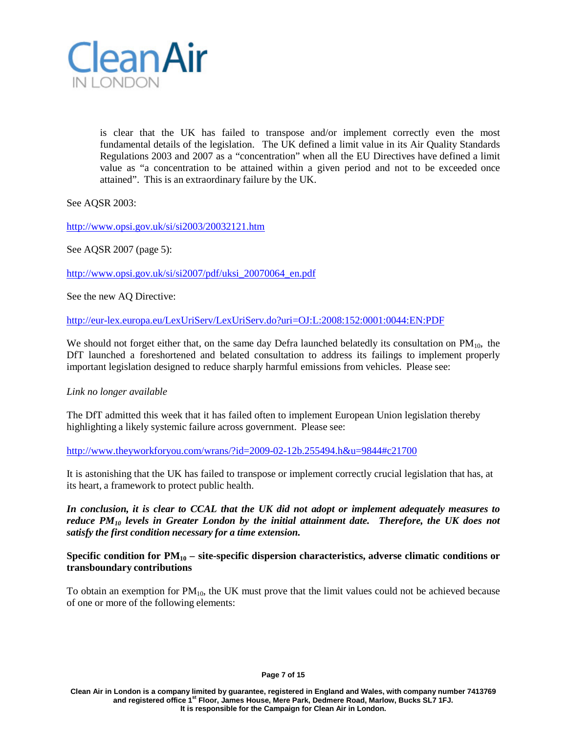

is clear that the UK has failed to transpose and/or implement correctly even the most fundamental details of the legislation. The UK defined a limit value in its Air Quality Standards Regulations 2003 and 2007 as a "concentration" when all the EU Directives have defined a limit value as "a concentration to be attained within a given period and not to be exceeded once attained". This is an extraordinary failure by the UK.

See AQSR 2003:

<http://www.opsi.gov.uk/si/si2003/20032121.htm>

See AQSR 2007 (page 5):

[http://www.opsi.gov.uk/si/si2007/pdf/uksi\\_20070064\\_en.pdf](http://www.opsi.gov.uk/si/si2007/pdf/uksi_20070064_en.pdf)

See the new AQ Directive:

[http://eur-lex.europa.eu/LexUriServ/LexUriServ.do?uri=OJ:L:2008:152:0001:0044:EN:PDF](http://eur-lex.europa.eu/LexUriServ/LexUriServ.do?uri=OJ%3AL%3A2008%3A152%3A0001%3A0044%3AEN%3APDF)

We should not forget either that, on the same day Defra launched belatedly its consultation on  $PM_{10}$ , the DfT launched a foreshortened and belated consultation to address its failings to implement properly important legislation designed to reduce sharply harmful emissions from vehicles. Please see:

## *Link no longer available*

The DfT admitted this week that it has failed often to implement European Union legislation thereby highlighting a likely systemic failure across government. Please see:

[http://www.theyworkforyou.com/wrans/?id=2009-02-12b.255494.h&u=9844#c21700](http://www.theyworkforyou.com/wrans/?id=2009-02-12b.255494.h&u=9844&c21700)

It is astonishing that the UK has failed to transpose or implement correctly crucial legislation that has, at its heart, a framework to protect public health.

*In conclusion, it is clear to CCAL that the UK did not adopt or implement adequately measures to reduce PM10 levels in Greater London by the initial attainment date. Therefore, the UK does not satisfy the first condition necessary for a time extension.*

## **Specific condition for PM10 – site-specific dispersion characteristics, adverse climatic conditions or transboundary contributions**

To obtain an exemption for  $PM_{10}$ , the UK must prove that the limit values could not be achieved because of one or more of the following elements: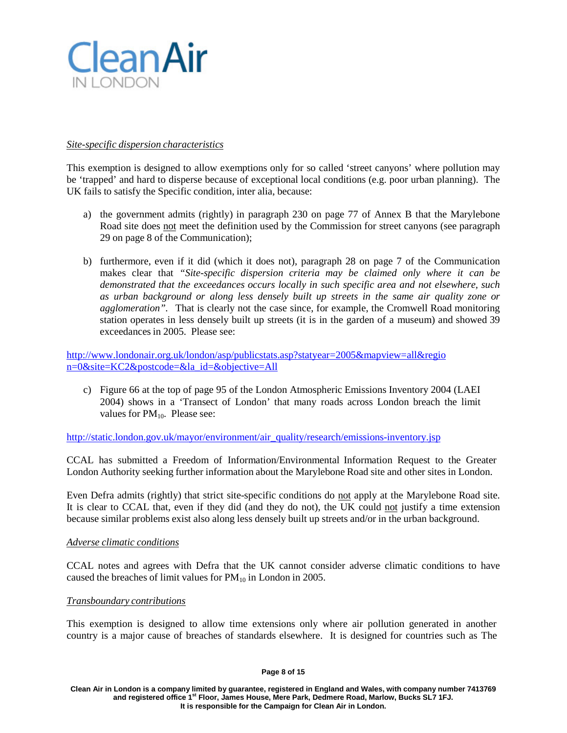

## *Site-specific dispersion characteristics*

This exemption is designed to allow exemptions only for so called 'street canyons' where pollution may be 'trapped' and hard to disperse because of exceptional local conditions (e.g. poor urban planning). The UK fails to satisfy the Specific condition, inter alia, because:

- a) the government admits (rightly) in paragraph 230 on page 77 of Annex B that the Marylebone Road site does not meet the definition used by the Commission for street canyons (see paragraph 29 on page 8 of the Communication);
- b) furthermore, even if it did (which it does not), paragraph 28 on page 7 of the Communication makes clear that *"Site-specific dispersion criteria may be claimed only where it can be demonstrated that the exceedances occurs locally in such specific area and not elsewhere, such as urban background or along less densely built up streets in the same air quality zone or agglomeration".* That is clearly not the case since, for example, the Cromwell Road monitoring station operates in less densely built up streets (it is in the garden of a museum) and showed 39 exceedances in 2005. Please see:

<http://www.londonair.org.uk/london/asp/publicstats.asp?statyear=2005&mapview=all&regio> n=0&site=KC2&postcode=&la\_id=&objective=All

c) Figure 66 at the top of page 95 of the London Atmospheric Emissions Inventory 2004 (LAEI 2004) shows in a 'Transect of London' that many roads across London breach the limit values for  $PM_{10}$ . Please see:

[http://static.london.gov.uk/mayor/environment/air\\_quality/research/emissions-inventory.jsp](http://static.london.gov.uk/mayor/environment/air_quality/research/emissions-inventory.jsp)

CCAL has submitted a Freedom of Information/Environmental Information Request to the Greater London Authority seeking further information about the Marylebone Road site and other sites in London.

Even Defra admits (rightly) that strict site-specific conditions do not apply at the Marylebone Road site. It is clear to CCAL that, even if they did (and they do not), the UK could not justify a time extension because similar problems exist also along less densely built up streets and/or in the urban background.

### *Adverse climatic conditions*

CCAL notes and agrees with Defra that the UK cannot consider adverse climatic conditions to have caused the breaches of limit values for  $PM_{10}$  in London in 2005.

## *Transboundary contributions*

This exemption is designed to allow time extensions only where air pollution generated in another country is a major cause of breaches of standards elsewhere. It is designed for countries such as The

#### **Page 8 of 15**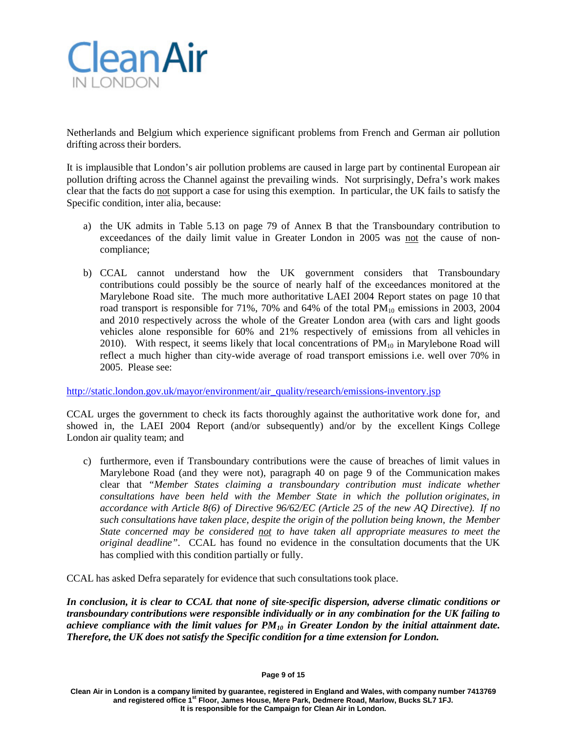

Netherlands and Belgium which experience significant problems from French and German air pollution drifting across their borders.

It is implausible that London's air pollution problems are caused in large part by continental European air pollution drifting across the Channel against the prevailing winds. Not surprisingly, Defra's work makes clear that the facts do not support a case for using this exemption. In particular, the UK fails to satisfy the Specific condition, inter alia, because:

- a) the UK admits in Table 5.13 on page 79 of Annex B that the Transboundary contribution to exceedances of the daily limit value in Greater London in 2005 was not the cause of noncompliance;
- b) CCAL cannot understand how the UK government considers that Transboundary contributions could possibly be the source of nearly half of the exceedances monitored at the Marylebone Road site. The much more authoritative LAEI 2004 Report states on page 10 that road transport is responsible for  $71\%$ ,  $70\%$  and  $64\%$  of the total  $PM_{10}$  emissions in 2003, 2004 and 2010 respectively across the whole of the Greater London area (with cars and light goods vehicles alone responsible for 60% and 21% respectively of emissions from all vehicles in 2010). With respect, it seems likely that local concentrations of  $PM_{10}$  in Marylebone Road will reflect a much higher than city-wide average of road transport emissions i.e. well over 70% in 2005. Please see:

[http://static.london.gov.uk/mayor/environment/air\\_quality/research/emissions-inventory.jsp](http://static.london.gov.uk/mayor/environment/air_quality/research/emissions-inventory.jsp)

CCAL urges the government to check its facts thoroughly against the authoritative work done for, and showed in, the LAEI 2004 Report (and/or subsequently) and/or by the excellent Kings College London air quality team; and

c) furthermore, even if Transboundary contributions were the cause of breaches of limit values in Marylebone Road (and they were not), paragraph 40 on page 9 of the Communication makes clear that *"Member States claiming a transboundary contribution must indicate whether consultations have been held with the Member State in which the pollution originates, in accordance with Article 8(6) of Directive 96/62/EC (Article 25 of the new AQ Directive). If no such consultations have taken place, despite the origin of the pollution being known, the Member State concerned may be considered not to have taken all appropriate measures to meet the original deadline"*. CCAL has found no evidence in the consultation documents that the UK has complied with this condition partially or fully.

CCAL has asked Defra separately for evidence that such consultationstook place.

*In conclusion, it is clear to CCAL that none of site-specific dispersion, adverse climatic conditions or transboundary contributions were responsible individually or in any combination for the UK failing to achieve compliance with the limit values for PM10 in Greater London by the initial attainment date. Therefore, the UK does not satisfy the Specific condition for a time extension for London.*

**Page 9 of 15**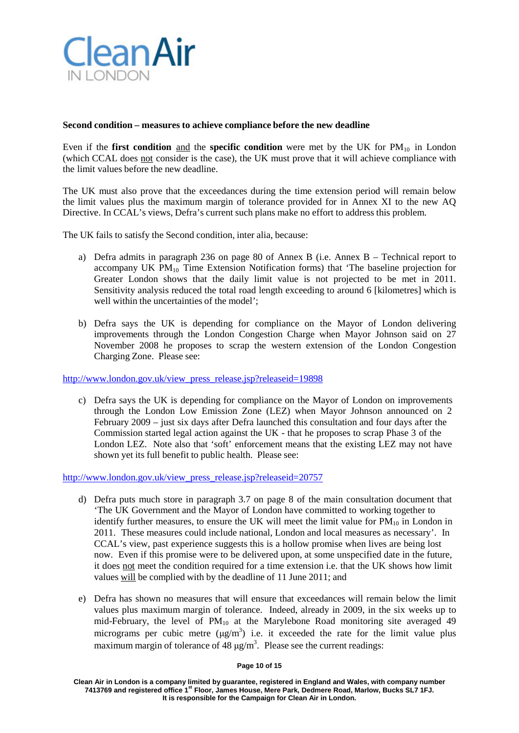

## **Second condition – measures to achieve compliance before the new deadline**

Even if the **first condition** and the **specific condition** were met by the UK for  $PM_{10}$  in London (which CCAL does not consider is the case), the UK must prove that it will achieve compliance with the limit values before the new deadline.

The UK must also prove that the exceedances during the time extension period will remain below the limit values plus the maximum margin of tolerance provided for in Annex XI to the new AQ Directive. In CCAL's views, Defra's current such plans make no effort to address this problem.

The UK fails to satisfy the Second condition, inter alia, because:

- a) Defra admits in paragraph 236 on page 80 of Annex B (i.e. Annex B Technical report to accompany UK  $PM_{10}$  Time Extension Notification forms) that 'The baseline projection for Greater London shows that the daily limit value is not projected to be met in 2011. Sensitivity analysis reduced the total road length exceeding to around 6 [kilometres] which is well within the uncertainties of the model';
- b) Defra says the UK is depending for compliance on the Mayor of London delivering improvements through the London Congestion Charge when Mayor Johnson said on 27 November 2008 he proposes to scrap the western extension of the London Congestion Charging Zone. Please see:

[http://www.london.gov.uk/view\\_press\\_release.jsp?releaseid=19898](http://www.london.gov.uk/view_press_release.jsp?releaseid=19898)

c) Defra says the UK is depending for compliance on the Mayor of London on improvements through the London Low Emission Zone (LEZ) when Mayor Johnson announced on 2 February 2009 – just six days after Defra launched this consultation and four days after the Commission started legal action against the UK - that he proposes to scrap Phase 3 of the London LEZ. Note also that 'soft' enforcement means that the existing LEZ may not have shown yet its full benefit to public health. Please see:

[http://www.london.gov.uk/view\\_press\\_release.jsp?releaseid=20757](http://www.london.gov.uk/view_press_release.jsp?releaseid=20757)

- d) Defra puts much store in paragraph 3.7 on page 8 of the main consultation document that 'The UK Government and the Mayor of London have committed to working together to identify further measures, to ensure the UK will meet the limit value for  $PM_{10}$  in London in 2011. These measures could include national, London and local measures as necessary'. In CCAL's view, past experience suggests this is a hollow promise when lives are being lost now. Even if this promise were to be delivered upon, at some unspecified date in the future, it does not meet the condition required for a time extension i.e. that the UK shows how limit values will be complied with by the deadline of 11 June 2011; and
- e) Defra has shown no measures that will ensure that exceedances will remain below the limit values plus maximum margin of tolerance. Indeed, already in 2009, in the six weeks up to mid-February, the level of  $PM_{10}$  at the Marylebone Road monitoring site averaged 49 micrograms per cubic metre  $(\mu g/m^3)$  i.e. it exceeded the rate for the limit value plus maximum margin of tolerance of 48  $\mu$ g/m<sup>3</sup>. Please see the current readings:

#### **Page 10 of 15**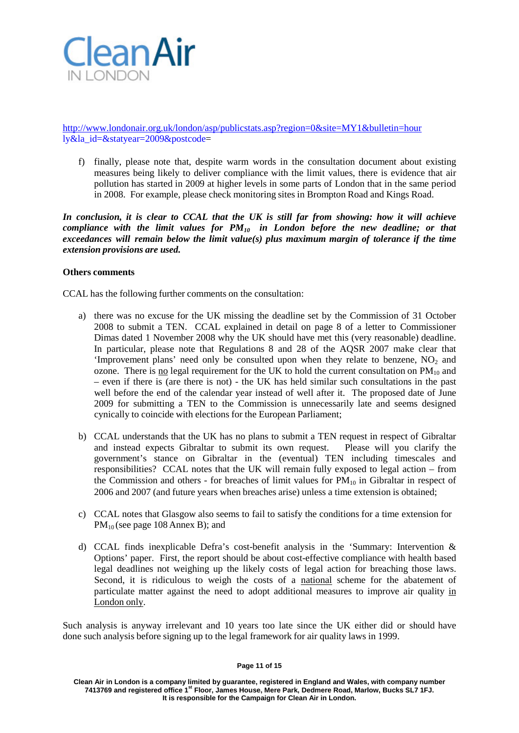

<http://www.londonair.org.uk/london/asp/publicstats.asp?region=0&site=MY1&bulletin=hour> ly&la\_id=&statyear=2009&postcode=

f) finally, please note that, despite warm words in the consultation document about existing measures being likely to deliver compliance with the limit values, there is evidence that air pollution has started in 2009 at higher levels in some parts of London that in the same period in 2008. For example, please check monitoring sites in Brompton Road and Kings Road.

*In conclusion, it is clear to CCAL that the UK is still far from showing: how it will achieve compliance with the limit values for PM10 in London before the new deadline; or that exceedances will remain below the limit value(s) plus maximum margin of tolerance if the time extension provisions are used.*

## **Others comments**

CCAL has the following further comments on the consultation:

- a) there was no excuse for the UK missing the deadline set by the Commission of 31 October 2008 to submit a TEN. CCAL explained in detail on page 8 of a letter to Commissioner Dimas dated 1 November 2008 why the UK should have met this (very reasonable) deadline. In particular, please note that Regulations 8 and 28 of the AQSR 2007 make clear that 'Improvement plans' need only be consulted upon when they relate to benzene,  $NO<sub>2</sub>$  and ozone. There is no legal requirement for the UK to hold the current consultation on  $PM_{10}$  and – even if there is (are there is not) - the UK has held similar such consultations in the past well before the end of the calendar year instead of well after it. The proposed date of June 2009 for submitting a TEN to the Commission is unnecessarily late and seems designed cynically to coincide with elections for the European Parliament;
- b) CCAL understands that the UK has no plans to submit a TEN request in respect of Gibraltar and instead expects Gibraltar to submit its own request. Please will you clarify the government's stance on Gibraltar in the (eventual) TEN including timescales and responsibilities? CCAL notes that the UK will remain fully exposed to legal action – from the Commission and others - for breaches of limit values for  $PM_{10}$  in Gibraltar in respect of 2006 and 2007 (and future years when breaches arise) unless a time extension is obtained;
- c) CCAL notes that Glasgow also seems to fail to satisfy the conditions for a time extension for PM<sub>10</sub> (see page 108 Annex B); and
- d) CCAL finds inexplicable Defra's cost-benefit analysis in the 'Summary: Intervention & Options' paper. First, the report should be about cost-effective compliance with health based legal deadlines not weighing up the likely costs of legal action for breaching those laws. Second, it is ridiculous to weigh the costs of a national scheme for the abatement of particulate matter against the need to adopt additional measures to improve air quality in London only.

Such analysis is anyway irrelevant and 10 years too late since the UK either did or should have done such analysis before signing up to the legal framework for air quality laws in 1999.

#### **Page 11 of 15**

**Clean Air in London is a company limited by guarantee, registered in England and Wales, with company number 7413769 and registered office 1st Floor, James House, Mere Park, Dedmere Road, Marlow, Bucks SL7 1FJ. It is responsible for the Campaign for Clean Air in London.**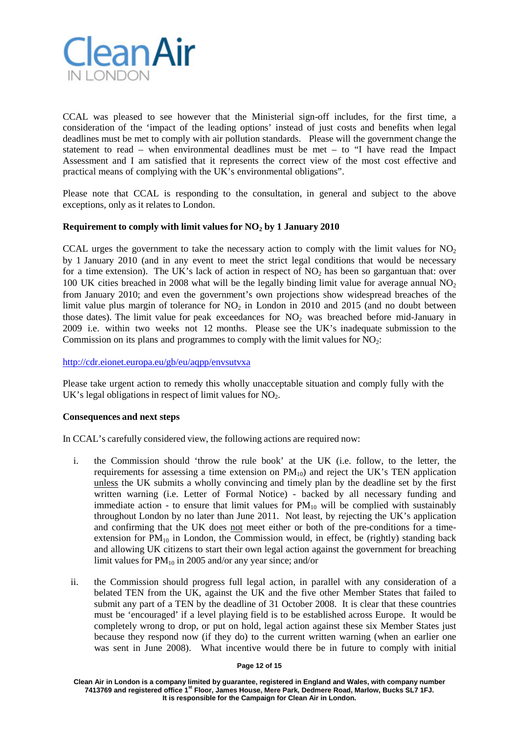

CCAL was pleased to see however that the Ministerial sign-off includes, for the first time, a consideration of the 'impact of the leading options' instead of just costs and benefits when legal deadlines must be met to comply with air pollution standards. Please will the government change the statement to read – when environmental deadlines must be met – to "I have read the Impact Assessment and I am satisfied that it represents the correct view of the most cost effective and practical means of complying with the UK's environmental obligations".

Please note that CCAL is responding to the consultation, in general and subject to the above exceptions, only as it relates to London.

## **Requirement to comply with limit values for NO2 by 1 January 2010**

CCAL urges the government to take the necessary action to comply with the limit values for  $NO<sub>2</sub>$ by 1 January 2010 (and in any event to meet the strict legal conditions that would be necessary for a time extension). The UK's lack of action in respect of  $NO<sub>2</sub>$  has been so gargantuan that: over 100 UK cities breached in 2008 what will be the legally binding limit value for average annual  $NO<sub>2</sub>$ from January 2010; and even the government's own projections show widespread breaches of the limit value plus margin of tolerance for  $NO<sub>2</sub>$  in London in 2010 and 2015 (and no doubt between those dates). The limit value for peak exceedances for  $NO<sub>2</sub>$  was breached before mid-January in 2009 i.e. within two weeks not 12 months. Please see the UK's inadequate submission to the Commission on its plans and programmes to comply with the limit values for  $NO<sub>2</sub>$ :

## <http://cdr.eionet.europa.eu/gb/eu/aqpp/envsutvxa>

Please take urgent action to remedy this wholly unacceptable situation and comply fully with the UK's legal obligations in respect of limit values for  $NO<sub>2</sub>$ .

## **Consequences and next steps**

In CCAL's carefully considered view, the following actions are required now:

- i. the Commission should 'throw the rule book' at the UK (i.e. follow, to the letter, the requirements for assessing a time extension on  $PM_{10}$  and reject the UK's TEN application unless the UK submits a wholly convincing and timely plan by the deadline set by the first written warning (i.e. Letter of Formal Notice) - backed by all necessary funding and immediate action - to ensure that limit values for  $PM_{10}$  will be complied with sustainably throughout London by no later than June 2011. Not least, by rejecting the UK's application and confirming that the UK does not meet either or both of the pre-conditions for a timeextension for  $PM_{10}$  in London, the Commission would, in effect, be (rightly) standing back and allowing UK citizens to start their own legal action against the government for breaching limit values for  $PM_{10}$  in 2005 and/or any year since; and/or
- ii. the Commission should progress full legal action, in parallel with any consideration of a belated TEN from the UK, against the UK and the five other Member States that failed to submit any part of a TEN by the deadline of 31 October 2008. It is clear that these countries must be 'encouraged' if a level playing field is to be established across Europe. It would be completely wrong to drop, or put on hold, legal action against these six Member States just because they respond now (if they do) to the current written warning (when an earlier one was sent in June 2008). What incentive would there be in future to comply with initial

#### **Page 12 of 15**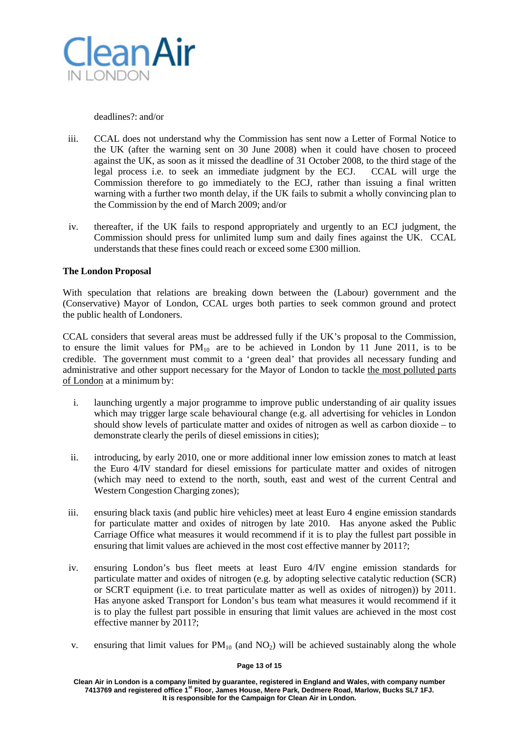

deadlines?: and/or

- iii. CCAL does not understand why the Commission has sent now a Letter of Formal Notice to the UK (after the warning sent on 30 June 2008) when it could have chosen to proceed against the UK, as soon as it missed the deadline of 31 October 2008, to the third stage of the legal process i.e. to seek an immediate judgment by the ECJ. CCAL will urge the Commission therefore to go immediately to the ECJ, rather than issuing a final written warning with a further two month delay, if the UK fails to submit a wholly convincing plan to the Commission by the end of March 2009; and/or
- iv. thereafter, if the UK fails to respond appropriately and urgently to an ECJ judgment, the Commission should press for unlimited lump sum and daily fines against the UK. CCAL understands that these fines could reach or exceed some £300 million.

# **The London Proposal**

With speculation that relations are breaking down between the (Labour) government and the (Conservative) Mayor of London, CCAL urges both parties to seek common ground and protect the public health of Londoners.

CCAL considers that several areas must be addressed fully if the UK's proposal to the Commission, to ensure the limit values for  $PM_{10}$  are to be achieved in London by 11 June 2011, is to be credible. The government must commit to a 'green deal' that provides all necessary funding and administrative and other support necessary for the Mayor of London to tackle the most polluted parts of London at a minimum by:

- i. launching urgently a major programme to improve public understanding of air quality issues which may trigger large scale behavioural change (e.g. all advertising for vehicles in London should show levels of particulate matter and oxides of nitrogen as well as carbon dioxide – to demonstrate clearly the perils of diesel emissions in cities);
- ii. introducing, by early 2010, one or more additional inner low emission zones to match at least the Euro 4/IV standard for diesel emissions for particulate matter and oxides of nitrogen (which may need to extend to the north, south, east and west of the current Central and Western Congestion Charging zones);
- iii. ensuring black taxis (and public hire vehicles) meet at least Euro 4 engine emission standards for particulate matter and oxides of nitrogen by late 2010. Has anyone asked the Public Carriage Office what measures it would recommend if it is to play the fullest part possible in ensuring that limit values are achieved in the most cost effective manner by 2011?;
- iv. ensuring London's bus fleet meets at least Euro 4/IV engine emission standards for particulate matter and oxides of nitrogen (e.g. by adopting selective catalytic reduction (SCR) or SCRT equipment (i.e. to treat particulate matter as well as oxides of nitrogen)) by 2011. Has anyone asked Transport for London's bus team what measures it would recommend if it is to play the fullest part possible in ensuring that limit values are achieved in the most cost effective manner by 2011?;
- v. ensuring that limit values for  $PM_{10}$  (and  $NO<sub>2</sub>$ ) will be achieved sustainably along the whole

### **Page 13 of 15**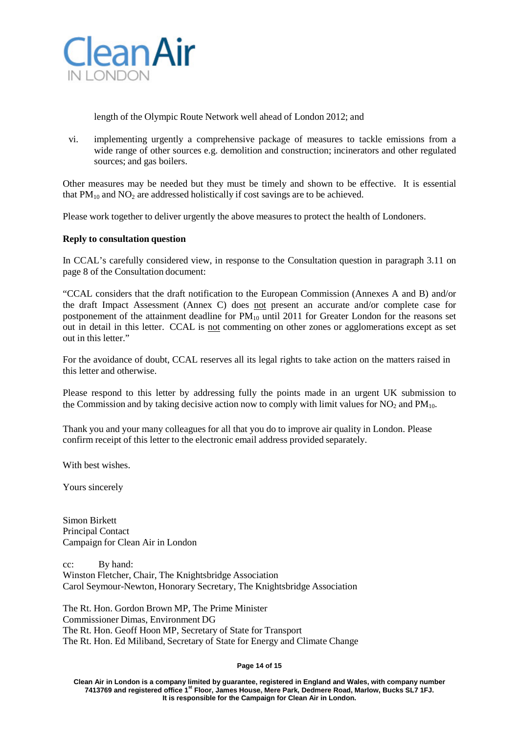

length of the Olympic Route Network well ahead of London 2012; and

vi. implementing urgently a comprehensive package of measures to tackle emissions from a wide range of other sources e.g. demolition and construction; incinerators and other regulated sources; and gas boilers.

Other measures may be needed but they must be timely and shown to be effective. It is essential that  $PM_{10}$  and  $NO_2$  are addressed holistically if cost savings are to be achieved.

Please work together to deliver urgently the above measures to protect the health of Londoners.

## **Reply to consultation question**

In CCAL's carefully considered view, in response to the Consultation question in paragraph 3.11 on page 8 of the Consultation document:

"CCAL considers that the draft notification to the European Commission (Annexes A and B) and/or the draft Impact Assessment (Annex C) does not present an accurate and/or complete case for postponement of the attainment deadline for  $PM_{10}$  until 2011 for Greater London for the reasons set out in detail in this letter. CCAL is not commenting on other zones or agglomerations except as set out in this letter."

For the avoidance of doubt, CCAL reserves all its legal rights to take action on the matters raised in this letter and otherwise.

Please respond to this letter by addressing fully the points made in an urgent UK submission to the Commission and by taking decisive action now to comply with limit values for  $NO_2$  and  $PM_{10}$ .

Thank you and your many colleagues for all that you do to improve air quality in London. Please confirm receipt of this letter to the electronic email address provided separately.

With best wishes.

Yours sincerely

Simon Birkett Principal Contact Campaign for Clean Air in London

cc: By hand: Winston Fletcher, Chair, The Knightsbridge Association Carol Seymour-Newton, Honorary Secretary, The Knightsbridge Association

The Rt. Hon. Gordon Brown MP, The Prime Minister Commissioner Dimas, Environment DG The Rt. Hon. Geoff Hoon MP, Secretary of State for Transport The Rt. Hon. Ed Miliband, Secretary of State for Energy and Climate Change

#### **Page 14 of 15**